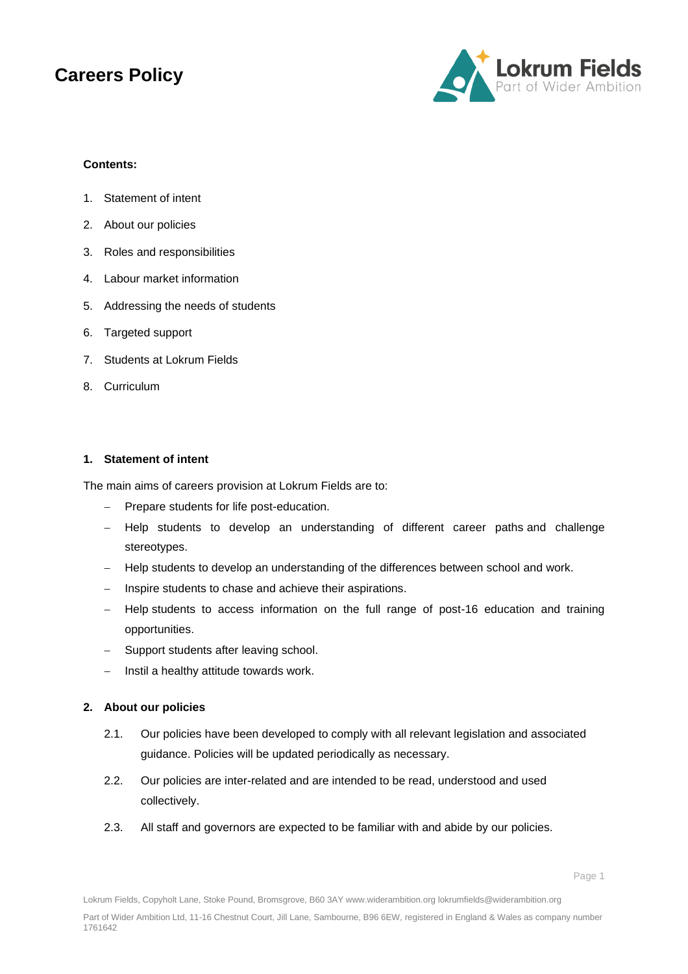

#### **Contents:**

- 1. Statement of intent
- 2. About our policies
- 3. Roles and responsibilities
- 4. Labour market information
- 5. Addressing the needs of students
- 6. Targeted support
- 7. Students at Lokrum Fields
- 8. Curriculum

#### **1. Statement of intent**

The main aims of careers provision at Lokrum Fields are to:

- Prepare students for life post-education.
- − Help students to develop an understanding of different career paths and challenge stereotypes.
- − Help students to develop an understanding of the differences between school and work.
- − Inspire students to chase and achieve their aspirations.
- Help students to access information on the full range of post-16 education and training opportunities.
- Support students after leaving school.
- − Instil a healthy attitude towards work.

#### **2. About our policies**

- 2.1. Our policies have been developed to comply with all relevant legislation and associated guidance. Policies will be updated periodically as necessary.
- 2.2. Our policies are inter-related and are intended to be read, understood and used collectively.
- 2.3. All staff and governors are expected to be familiar with and abide by our policies.

Lokrum Fields, Copyholt Lane, Stoke Pound, Bromsgrove, B60 3AY www.widerambition.org lokrumfields@widerambition.org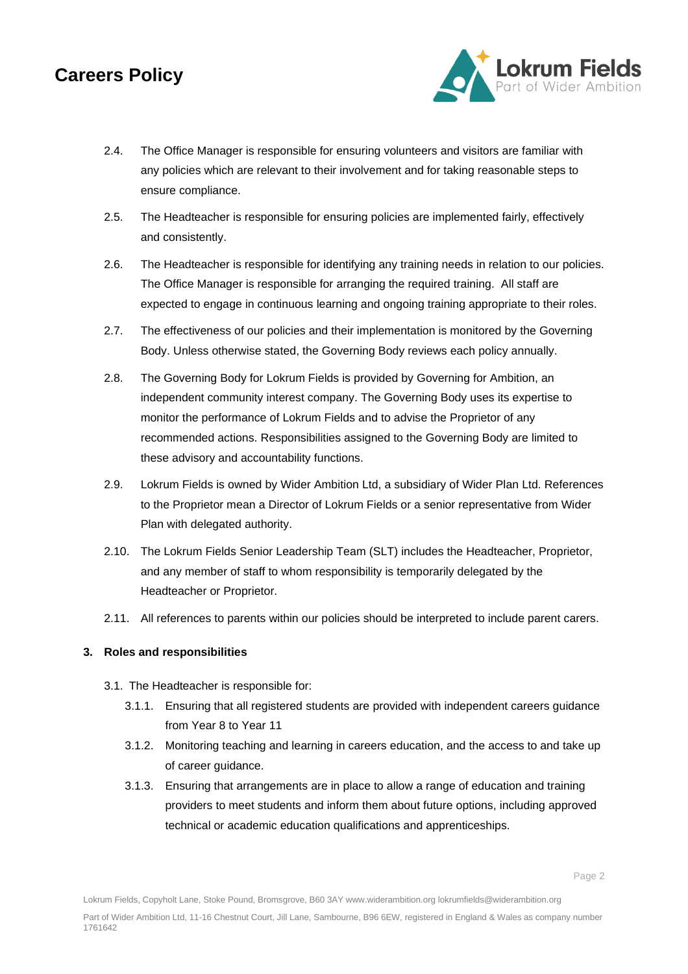

- 2.4. The Office Manager is responsible for ensuring volunteers and visitors are familiar with any policies which are relevant to their involvement and for taking reasonable steps to ensure compliance.
- 2.5. The Headteacher is responsible for ensuring policies are implemented fairly, effectively and consistently.
- 2.6. The Headteacher is responsible for identifying any training needs in relation to our policies. The Office Manager is responsible for arranging the required training. All staff are expected to engage in continuous learning and ongoing training appropriate to their roles.
- 2.7. The effectiveness of our policies and their implementation is monitored by the Governing Body. Unless otherwise stated, the Governing Body reviews each policy annually.
- 2.8. The Governing Body for Lokrum Fields is provided by Governing for Ambition, an independent community interest company. The Governing Body uses its expertise to monitor the performance of Lokrum Fields and to advise the Proprietor of any recommended actions. Responsibilities assigned to the Governing Body are limited to these advisory and accountability functions.
- 2.9. Lokrum Fields is owned by Wider Ambition Ltd, a subsidiary of Wider Plan Ltd. References to the Proprietor mean a Director of Lokrum Fields or a senior representative from Wider Plan with delegated authority.
- 2.10. The Lokrum Fields Senior Leadership Team (SLT) includes the Headteacher, Proprietor, and any member of staff to whom responsibility is temporarily delegated by the Headteacher or Proprietor.
- 2.11. All references to parents within our policies should be interpreted to include parent carers.

### **3. Roles and responsibilities**

- 3.1. The Headteacher is responsible for:
	- 3.1.1. Ensuring that all registered students are provided with independent careers guidance from Year 8 to Year 11
	- 3.1.2. Monitoring teaching and learning in careers education, and the access to and take up of career guidance.
	- 3.1.3. Ensuring that arrangements are in place to allow a range of education and training providers to meet students and inform them about future options, including approved technical or academic education qualifications and apprenticeships.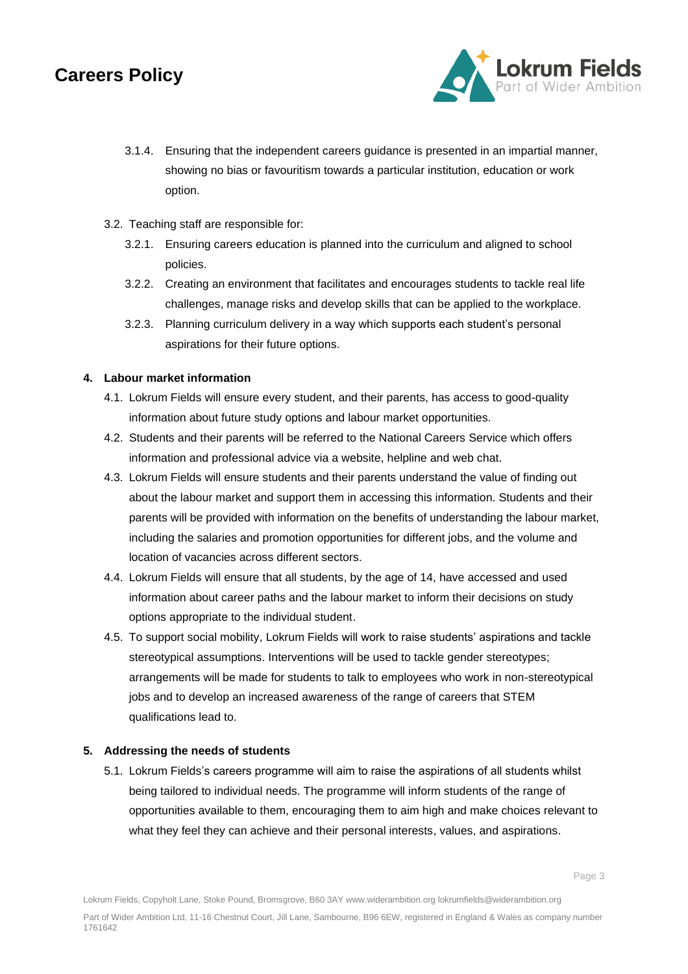

Page 3

- 3.1.4. Ensuring that the independent careers guidance is presented in an impartial manner, showing no bias or favouritism towards a particular institution, education or work option.
- 3.2. Teaching staff are responsible for:
	- 3.2.1. Ensuring careers education is planned into the curriculum and aligned to school policies.
	- 3.2.2. Creating an environment that facilitates and encourages students to tackle real life challenges, manage risks and develop skills that can be applied to the workplace.
	- 3.2.3. Planning curriculum delivery in a way which supports each student's personal aspirations for their future options.

### **4. Labour market information**

- 4.1. Lokrum Fields will ensure every student, and their parents, has access to good-quality information about future study options and labour market opportunities.
- 4.2. Students and their parents will be referred to the National Careers Service which offers information and professional advice via a website, helpline and web chat.
- 4.3. Lokrum Fields will ensure students and their parents understand the value of finding out about the labour market and support them in accessing this information. Students and their parents will be provided with information on the benefits of understanding the labour market, including the salaries and promotion opportunities for different jobs, and the volume and location of vacancies across different sectors.
- 4.4. Lokrum Fields will ensure that all students, by the age of 14, have accessed and used information about career paths and the labour market to inform their decisions on study options appropriate to the individual student.
- 4.5. To support social mobility, Lokrum Fields will work to raise students' aspirations and tackle stereotypical assumptions. Interventions will be used to tackle gender stereotypes; arrangements will be made for students to talk to employees who work in non-stereotypical jobs and to develop an increased awareness of the range of careers that STEM qualifications lead to.

#### **5. Addressing the needs of students**

5.1. Lokrum Fields's careers programme will aim to raise the aspirations of all students whilst being tailored to individual needs. The programme will inform students of the range of opportunities available to them, encouraging them to aim high and make choices relevant to what they feel they can achieve and their personal interests, values, and aspirations.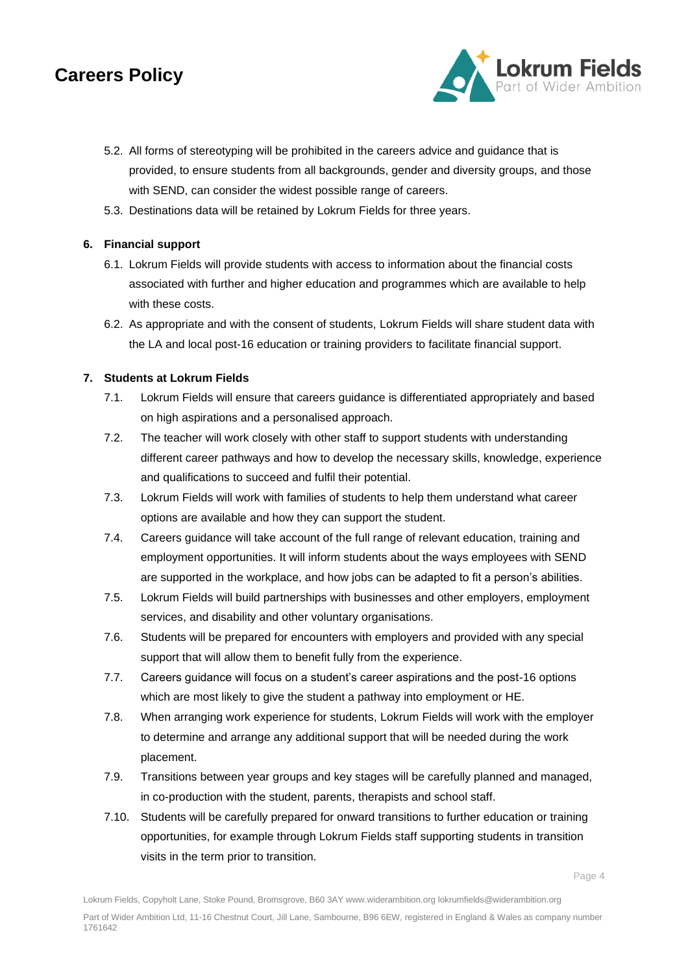

- 5.2. All forms of stereotyping will be prohibited in the careers advice and guidance that is provided, to ensure students from all backgrounds, gender and diversity groups, and those with SEND, can consider the widest possible range of careers.
- 5.3. Destinations data will be retained by Lokrum Fields for three years.

### **6. Financial support**

- 6.1. Lokrum Fields will provide students with access to information about the financial costs associated with further and higher education and programmes which are available to help with these costs.
- 6.2. As appropriate and with the consent of students, Lokrum Fields will share student data with the LA and local post-16 education or training providers to facilitate financial support.

### **7. Students at Lokrum Fields**

- 7.1. Lokrum Fields will ensure that careers guidance is differentiated appropriately and based on high aspirations and a personalised approach.
- 7.2. The teacher will work closely with other staff to support students with understanding different career pathways and how to develop the necessary skills, knowledge, experience and qualifications to succeed and fulfil their potential.
- 7.3. Lokrum Fields will work with families of students to help them understand what career options are available and how they can support the student.
- 7.4. Careers guidance will take account of the full range of relevant education, training and employment opportunities. It will inform students about the ways employees with SEND are supported in the workplace, and how jobs can be adapted to fit a person's abilities.
- 7.5. Lokrum Fields will build partnerships with businesses and other employers, employment services, and disability and other voluntary organisations.
- 7.6. Students will be prepared for encounters with employers and provided with any special support that will allow them to benefit fully from the experience.
- 7.7. Careers guidance will focus on a student's career aspirations and the post-16 options which are most likely to give the student a pathway into employment or HE.
- 7.8. When arranging work experience for students, Lokrum Fields will work with the employer to determine and arrange any additional support that will be needed during the work placement.
- 7.9. Transitions between year groups and key stages will be carefully planned and managed, in co-production with the student, parents, therapists and school staff.
- 7.10. Students will be carefully prepared for onward transitions to further education or training opportunities, for example through Lokrum Fields staff supporting students in transition visits in the term prior to transition.